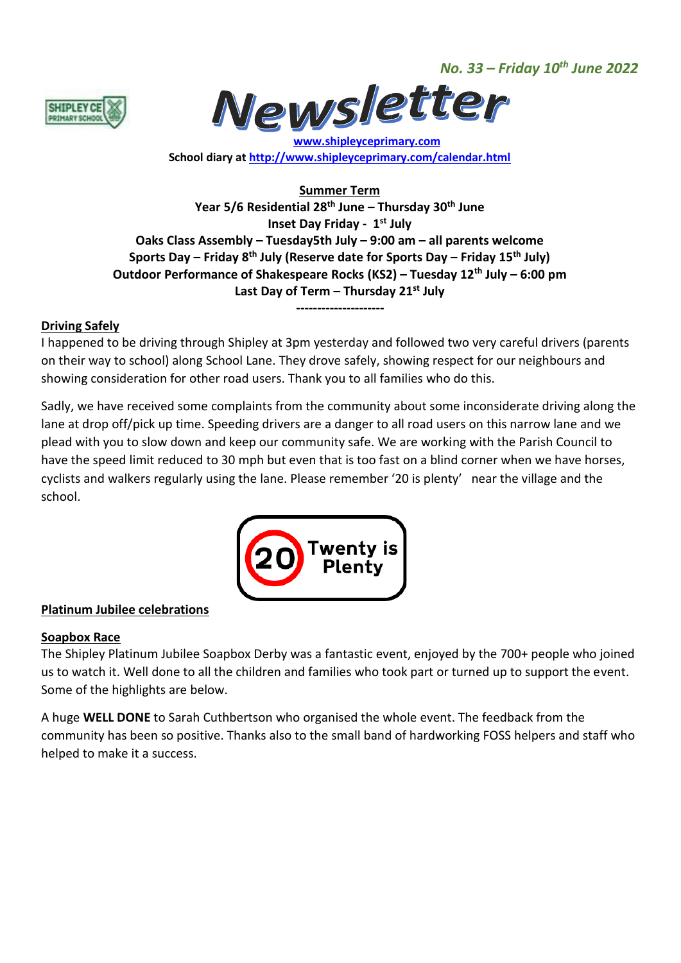*No. 33 – Friday 10th June 2022*





 **[www.shipleyceprimary.com](http://www.shipleyceprimary.com/) School diary a[t http://www.shipleyceprimary.com/calendar.html](http://www.shipleyceprimary.com/calendar.html)**

**Summer Term Year 5/6 Residential 28th June – Thursday 30th June Inset Day Friday - 1 st July Oaks Class Assembly – Tuesday5th July – 9:00 am – all parents welcome Sports Day – Friday 8th July (Reserve date for Sports Day – Friday 15th July) Outdoor Performance of Shakespeare Rocks (KS2) – Tuesday 12th July – 6:00 pm Last Day of Term – Thursday 21st July**

# **Driving Safely**

I happened to be driving through Shipley at 3pm yesterday and followed two very careful drivers (parents on their way to school) along School Lane. They drove safely, showing respect for our neighbours and showing consideration for other road users. Thank you to all families who do this.

**---------------------**

Sadly, we have received some complaints from the community about some inconsiderate driving along the lane at drop off/pick up time. Speeding drivers are a danger to all road users on this narrow lane and we plead with you to slow down and keep our community safe. We are working with the Parish Council to have the speed limit reduced to 30 mph but even that is too fast on a blind corner when we have horses, cyclists and walkers regularly using the lane. Please remember '20 is plenty' near the village and the school.



# **Platinum Jubilee celebrations**

# **Soapbox Race**

The Shipley Platinum Jubilee Soapbox Derby was a fantastic event, enjoyed by the 700+ people who joined us to watch it. Well done to all the children and families who took part or turned up to support the event. Some of the highlights are below.

A huge **WELL DONE** to Sarah Cuthbertson who organised the whole event. The feedback from the community has been so positive. Thanks also to the small band of hardworking FOSS helpers and staff who helped to make it a success.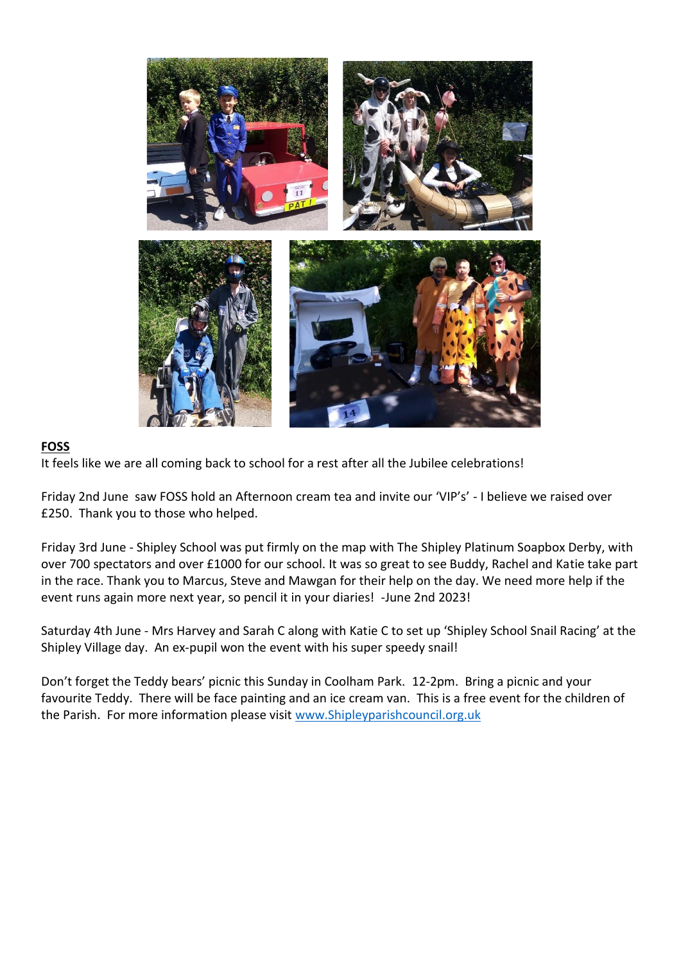

# **FOSS**

It feels like we are all coming back to school for a rest after all the Jubilee celebrations!

Friday 2nd June saw FOSS hold an Afternoon cream tea and invite our 'VIP's' - I believe we raised over £250. Thank you to those who helped.

Friday 3rd June - Shipley School was put firmly on the map with The Shipley Platinum Soapbox Derby, with over 700 spectators and over £1000 for our school. It was so great to see Buddy, Rachel and Katie take part in the race. Thank you to Marcus, Steve and Mawgan for their help on the day. We need more help if the event runs again more next year, so pencil it in your diaries! -June 2nd 2023!

Saturday 4th June - Mrs Harvey and Sarah C along with Katie C to set up 'Shipley School Snail Racing' at the Shipley Village day. An ex-pupil won the event with his super speedy snail!

Don't forget the Teddy bears' picnic this Sunday in Coolham Park. 12-2pm. Bring a picnic and your favourite Teddy. There will be face painting and an ice cream van. This is a free event for the children of the Parish. For more information please visit [www.Shipleyparishcouncil.org.uk](http://www.shipleyparishcouncil.org.uk/)